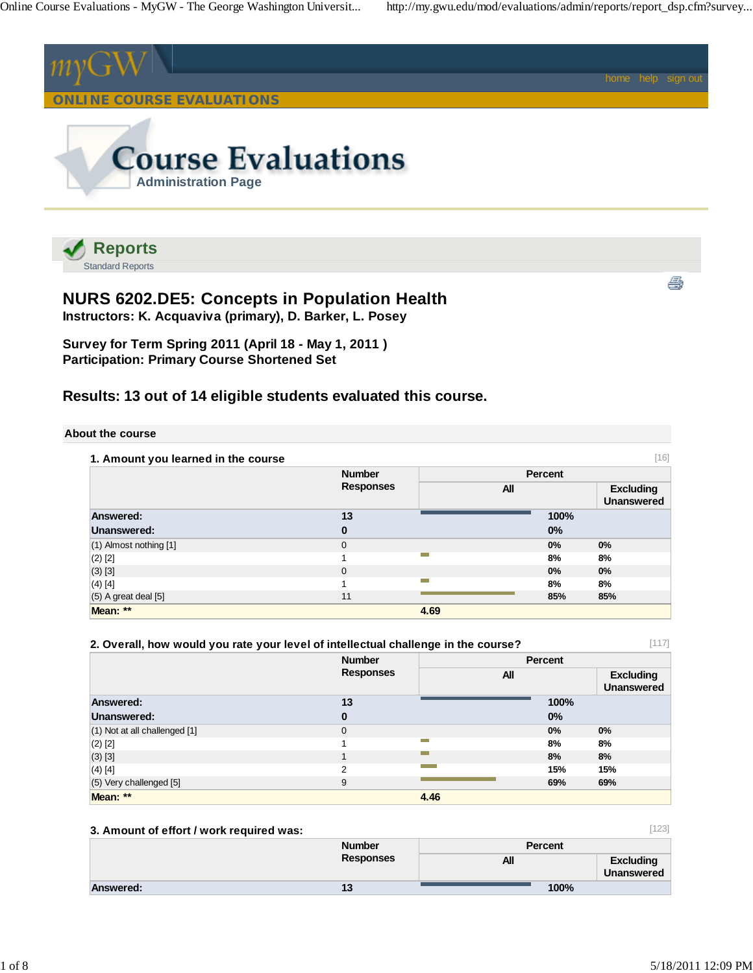

Standard Reports

# **NURS 6202.DE5: Concepts in Population Health**

**Instructors: K. Acquaviva (primary), D. Barker, L. Posey**

**Survey for Term Spring 2011 (April 18 - May 1, 2011 ) Participation: Primary Course Shortened Set**

# **Results: 13 out of 14 eligible students evaluated this course.**

#### **About the course**

| 1. Amount you learned in the course |                  |      |         | [16]                                  |
|-------------------------------------|------------------|------|---------|---------------------------------------|
|                                     | <b>Number</b>    |      | Percent |                                       |
|                                     | <b>Responses</b> | All  |         | <b>Excluding</b><br><b>Unanswered</b> |
| Answered:                           | 13               |      | 100%    |                                       |
| Unanswered:                         | 0                |      | 0%      |                                       |
| $(1)$ Almost nothing $[1]$          | $\mathbf{0}$     |      | 0%      | 0%                                    |
| $(2)$ [2]                           |                  |      | 8%      | 8%                                    |
| $(3)$ [3]                           | $\mathbf{0}$     |      | 0%      | 0%                                    |
| $(4)$ [4]                           |                  |      | 8%      | 8%                                    |
| $(5)$ A great deal $[5]$            | 11               |      | 85%     | 85%                                   |
| Mean: **                            |                  | 4.69 |         |                                       |

# **2. Overall, how would you rate your level of intellectual challenge in the course?**

|                               | <b>Number</b><br><b>Responses</b> | <b>Percent</b> |      |                                       |  |
|-------------------------------|-----------------------------------|----------------|------|---------------------------------------|--|
|                               |                                   | All            |      | <b>Excluding</b><br><b>Unanswered</b> |  |
| Answered:                     | 13                                |                | 100% |                                       |  |
| Unanswered:                   | $\bf{0}$                          |                | 0%   |                                       |  |
| (1) Not at all challenged [1] | $\mathbf 0$                       |                | 0%   | 0%                                    |  |
| (2) [2]                       |                                   | <b>College</b> | 8%   | 8%                                    |  |
| $(3)$ $[3]$                   |                                   |                | 8%   | 8%                                    |  |
| $(4)$ [4]                     | 2                                 |                | 15%  | 15%                                   |  |
| (5) Very challenged [5]       | 9                                 |                | 69%  | 69%                                   |  |
| Mean: **                      |                                   | 4.46           |      |                                       |  |

## **3. Amount of effort / work required was:**

|           | <b>Number</b>    | <b>Percent</b> |                                       |  |
|-----------|------------------|----------------|---------------------------------------|--|
|           | <b>Responses</b> | All            | <b>Excluding</b><br><b>Unanswered</b> |  |
| Answered: | 13               | 100%           |                                       |  |

[123]

[117]

ê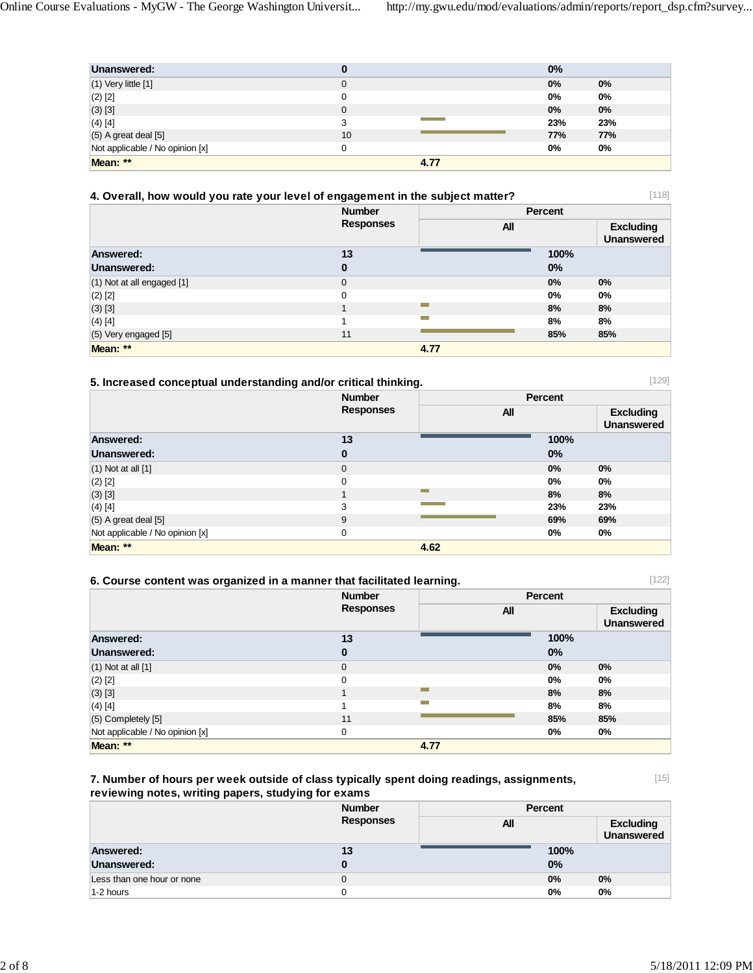| Unanswered:                     |          |      | 0%         |       |
|---------------------------------|----------|------|------------|-------|
| $(1)$ Very little $[1]$         | 0        |      | 0%         | $0\%$ |
| $(2)$ [2]                       |          |      | 0%         | 0%    |
| $(3)$ [3]                       | $\Omega$ |      | 0%         | $0\%$ |
| $(4)$ [4]                       | 3        |      | 23%        | 23%   |
| $(5)$ A great deal $[5]$        | 10       |      | <b>77%</b> | 77%   |
| Not applicable / No opinion [x] |          |      | 0%         | 0%    |
| Mean: **                        |          | 4.77 |            |       |

|  | 4. Overall, how would you rate your level of engagement in the subject matter? |  |
|--|--------------------------------------------------------------------------------|--|
|--|--------------------------------------------------------------------------------|--|

[118]

[129]

|                                | <b>Number</b>    |                | Percent |                                       |
|--------------------------------|------------------|----------------|---------|---------------------------------------|
|                                | <b>Responses</b> | <b>All</b>     |         | <b>Excluding</b><br><b>Unanswered</b> |
| <b>Answered:</b>               | 13               |                | 100%    |                                       |
| Unanswered:                    | 0                |                | 0%      |                                       |
| $(1)$ Not at all engaged $[1]$ | $\mathbf 0$      |                | 0%      | $0\%$                                 |
| $(2)$ [2]                      | $\mathbf 0$      |                | 0%      | $0\%$                                 |
| (3) [3]                        |                  |                | 8%      | 8%                                    |
| $(4)$ [4]                      |                  | <b>College</b> | 8%      | 8%                                    |
| $(5)$ Very engaged $[5]$       | 11               |                | 85%     | 85%                                   |
| Mean: **                       |                  | 4.77           |         |                                       |

# **5. Increased conceptual understanding and/or critical thinking.**

|                                 | <b>Number</b>    | Percent    |       |                                       |
|---------------------------------|------------------|------------|-------|---------------------------------------|
|                                 | <b>Responses</b> | <b>All</b> |       | <b>Excluding</b><br><b>Unanswered</b> |
| Answered:                       | 13               |            | 100%  |                                       |
| Unanswered:                     | $\bf{0}$         |            | 0%    |                                       |
| $(1)$ Not at all $[1]$          | $\mathbf{0}$     |            | 0%    | $0\%$                                 |
| $(2)$ [2]                       | 0                |            | $0\%$ | 0%                                    |
| (3) [3]                         |                  |            | 8%    | 8%                                    |
| (4) [4]                         | 3                |            | 23%   | 23%                                   |
| $(5)$ A great deal $[5]$        | 9                |            | 69%   | 69%                                   |
| Not applicable / No opinion [x] | 0                |            | 0%    | $0\%$                                 |
| Mean: **                        |                  | 4.62       |       |                                       |

| [122]<br>6. Course content was organized in a manner that facilitated learning. |                  |      |                |                                       |
|---------------------------------------------------------------------------------|------------------|------|----------------|---------------------------------------|
|                                                                                 | <b>Number</b>    |      | <b>Percent</b> |                                       |
|                                                                                 | <b>Responses</b> |      | All            | <b>Excluding</b><br><b>Unanswered</b> |
| Answered:                                                                       | 13               |      | 100%           |                                       |
| Unanswered:                                                                     | 0                |      | $0\%$          |                                       |
| $(1)$ Not at all $[1]$                                                          | $\mathbf{0}$     |      | $0\%$          | $0\%$                                 |
| $(2)$ $[2]$                                                                     | 0                |      | 0%             | $0\%$                                 |
| (3) [3]                                                                         |                  | m.   | 8%             | 8%                                    |
| (4) [4]                                                                         |                  |      | 8%             | 8%                                    |
| $(5)$ Completely $[5]$                                                          | 11               |      | 85%            | 85%                                   |
| Not applicable / No opinion [x]                                                 | 0                |      | 0%             | $0\%$                                 |
| Mean: **                                                                        |                  | 4.77 |                |                                       |

## **7. Number of hours per week outside of class typically spent doing readings, assignments, reviewing notes, writing papers, studying for exams**

[15]

| reviewing notes, writing papers, studying for exams |                  |                |                                |  |
|-----------------------------------------------------|------------------|----------------|--------------------------------|--|
|                                                     | <b>Number</b>    | <b>Percent</b> |                                |  |
|                                                     | <b>Responses</b> | All            | <b>Excluding</b><br>Unanswered |  |
| <b>Answered:</b>                                    | 13               | 100%           |                                |  |
| Unanswered:                                         |                  | $0\%$          |                                |  |

Less than one hour or none 0 **0 0 m**  $\frac{1}{2}$  0 m  $\frac{1}{2}$  0 m  $\frac{1}{2}$  0 m  $\frac{1}{2}$  0 m  $\frac{1}{2}$  0 m  $\frac{1}{2}$  0 m  $\frac{1}{2}$  0 m  $\frac{1}{2}$  0 m  $\frac{1}{2}$  0 m  $\frac{1}{2}$  0 m  $\frac{1}{2}$  0 m  $\frac{1}{2}$  0 m  $\frac{1}{2}$  0 m  $\frac$ 1-2 hours 0 **0% 0%**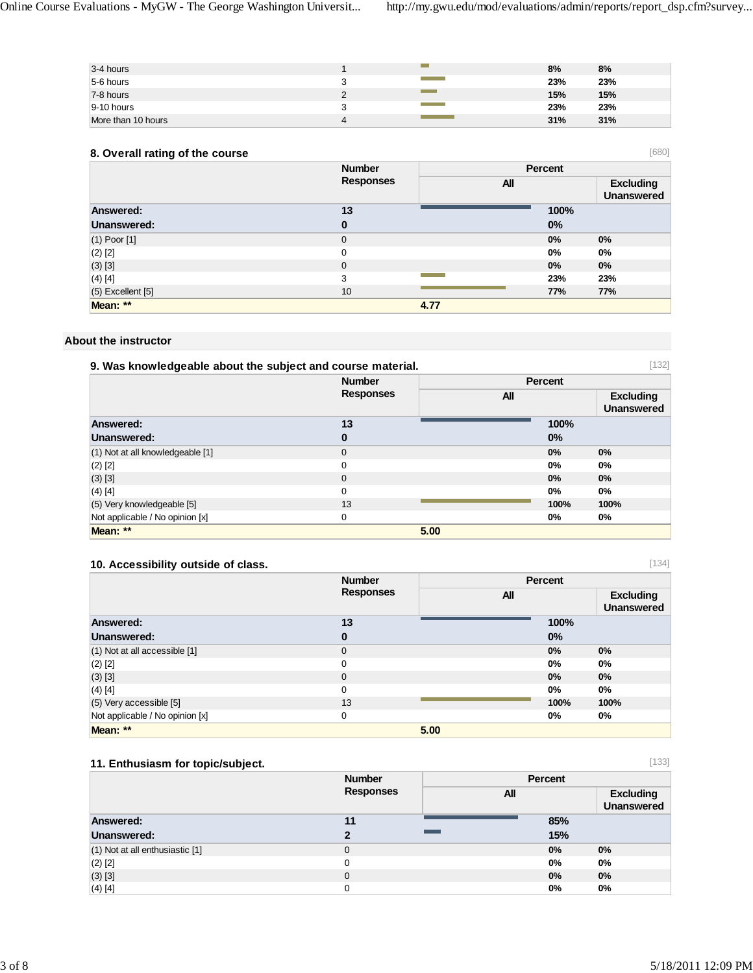[680]

[134]

[133]

| 3-4 hours          |   |                                   | 8%  | 8%  |
|--------------------|---|-----------------------------------|-----|-----|
| 5-6 hours          |   | <b>Contract Contract Contract</b> | 23% | 23% |
| 7-8 hours          |   |                                   | 15% | 15% |
| $9-10$ hours       |   | <b>Contract Contract Contract</b> | 23% | 23% |
| More than 10 hours | 4 |                                   | 31% | 31% |

## **8. Overall rating of the course**

| -                     |                                   |            |       |                                       |
|-----------------------|-----------------------------------|------------|-------|---------------------------------------|
|                       | <b>Number</b><br><b>Responses</b> | Percent    |       |                                       |
|                       |                                   | <b>All</b> |       | <b>Excluding</b><br><b>Unanswered</b> |
| Answered:             | 13                                |            | 100%  |                                       |
| Unanswered:           | 0                                 |            | 0%    |                                       |
| $(1)$ Poor $[1]$      | $\mathbf 0$                       |            | $0\%$ | $0\%$                                 |
| $(2)$ $[2]$           | 0                                 |            | 0%    | $0\%$                                 |
| (3) [3]               | $\mathbf 0$                       |            | 0%    | $0\%$                                 |
| $(4)$ [4]             | 3                                 |            | 23%   | 23%                                   |
| $(5)$ Excellent $[5]$ | 10                                |            | 77%   | 77%                                   |
| Mean: **              |                                   | 4.77       |       |                                       |

### **About the instructor**

| [132]<br>9. Was knowledgeable about the subject and course material. |                  |                |                                       |  |
|----------------------------------------------------------------------|------------------|----------------|---------------------------------------|--|
|                                                                      | <b>Number</b>    | <b>Percent</b> |                                       |  |
|                                                                      | <b>Responses</b> | <b>All</b>     | <b>Excluding</b><br><b>Unanswered</b> |  |
| <b>Answered:</b>                                                     | 13               | 100%           |                                       |  |
| Unanswered:                                                          | 0                | 0%             |                                       |  |
| (1) Not at all knowledgeable [1]                                     | $\mathbf 0$      | 0%             | 0%                                    |  |
| $(2)$ [2]                                                            | $\Omega$         | 0%             | $0\%$                                 |  |
| $(3)$ [3]                                                            | $\Omega$         | 0%             | 0%                                    |  |
| $(4)$ [4]                                                            | 0                | 0%             | $0\%$                                 |  |
| (5) Very knowledgeable [5]                                           | 13               | 100%           | 100%                                  |  |
| Not applicable / No opinion [x]                                      | 0                | $0\%$          | $0\%$                                 |  |
| Mean: **                                                             | 5.00             |                |                                       |  |

## **10. Accessibility outside of class.**

|                                 | <b>Number</b>    |            | Percent |                                       |
|---------------------------------|------------------|------------|---------|---------------------------------------|
|                                 | <b>Responses</b> | <b>All</b> |         | <b>Excluding</b><br><b>Unanswered</b> |
| Answered:                       | 13               |            | 100%    |                                       |
| Unanswered:                     | $\bf{0}$         |            | 0%      |                                       |
| (1) Not at all accessible [1]   | $\mathbf{0}$     |            | 0%      | $0\%$                                 |
| $(2)$ [2]                       | $\Omega$         |            | 0%      | $0\%$                                 |
| (3) [3]                         | $\mathbf{0}$     |            | $0\%$   | $0\%$                                 |
| $(4)$ [4]                       | $\Omega$         |            | 0%      | 0%                                    |
| $(5)$ Very accessible $[5]$     | 13               |            | 100%    | 100%                                  |
| Not applicable / No opinion [x] | 0                |            | $0\%$   | 0%                                    |
| Mean: **                        |                  | 5.00       |         |                                       |

# **11. Enthusiasm for topic/subject.**

|                                 | <b>Number</b><br><b>Responses</b> |                          | Percent |                                       |
|---------------------------------|-----------------------------------|--------------------------|---------|---------------------------------------|
|                                 |                                   | All                      |         | <b>Excluding</b><br><b>Unanswered</b> |
| <b>Answered:</b>                | 11                                |                          | 85%     |                                       |
| Unanswered:                     | 2                                 | <b>Contract Contract</b> | 15%     |                                       |
| (1) Not at all enthusiastic [1] | $\Omega$                          |                          | 0%      | 0%                                    |
| $(2)$ $[2]$                     | 0                                 |                          | 0%      | $0\%$                                 |
| (3) [3]                         | 0                                 |                          | 0%      | $0\%$                                 |
| $(4)$ [4]                       | 0                                 |                          | 0%      | 0%                                    |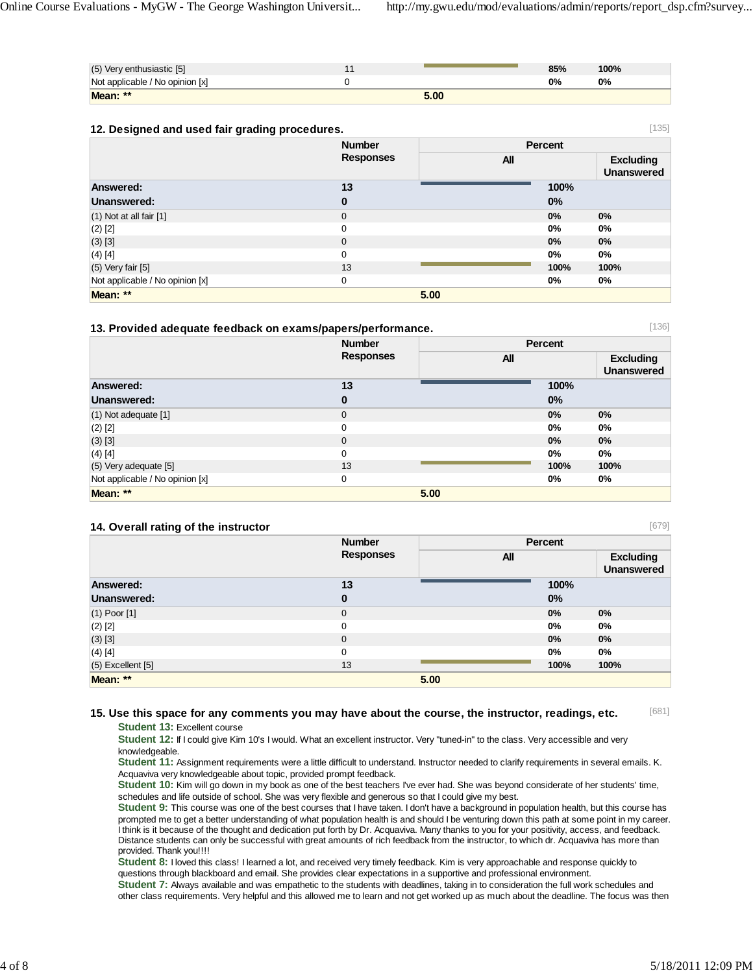[136]

[679]

| Mean: **                        | 5.00 |     |      |  |
|---------------------------------|------|-----|------|--|
| Not applicable / No opinion [x] |      | 0%  | 0%   |  |
| (5) Very enthusiastic [5]       |      | 85% | 100% |  |
|                                 |      |     |      |  |

| [135]<br>12. Designed and used fair grading procedures. |                  |                |                                       |  |
|---------------------------------------------------------|------------------|----------------|---------------------------------------|--|
|                                                         | <b>Number</b>    | <b>Percent</b> |                                       |  |
|                                                         | <b>Responses</b> | <b>All</b>     | <b>Excluding</b><br><b>Unanswered</b> |  |
| Answered:                                               | 13               |                | 100%                                  |  |
| Unanswered:                                             | $\bf{0}$         | 0%             |                                       |  |
| $(1)$ Not at all fair $[1]$                             | $\mathbf{0}$     | $0\%$          | $0\%$                                 |  |
| $(2)$ [2]                                               | 0                | 0%             | 0%                                    |  |
| $(3)$ [3]                                               | $\mathbf{0}$     | $0\%$          | $0\%$                                 |  |
| $(4)$ [4]                                               | 0                | $0\%$          | 0%                                    |  |
| $(5)$ Very fair $[5]$                                   | 13               | 100%           | 100%                                  |  |
| Not applicable / No opinion [x]                         | 0                | 0%             | 0%                                    |  |
| Mean: **                                                |                  | 5.00           |                                       |  |

#### **13. Provided adequate feedback on exams/papers/performance.**

|                                 | <b>Number</b>    | <b>Percent</b> |                                       |
|---------------------------------|------------------|----------------|---------------------------------------|
|                                 | <b>Responses</b> | <b>All</b>     | <b>Excluding</b><br><b>Unanswered</b> |
| Answered:                       | 13               |                | 100%                                  |
| Unanswered:                     | $\bf{0}$         | 0%             |                                       |
| $(1)$ Not adequate $[1]$        | $\mathbf{0}$     | 0%             | 0%                                    |
| $(2)$ [2]                       | 0                | $0\%$          | $0\%$                                 |
| (3) [3]                         | $\mathbf{0}$     | 0%             | 0%                                    |
| $(4)$ [4]                       | 0                | 0%             | $0\%$                                 |
| (5) Very adequate [5]           | 13               | 100%           | 100%                                  |
| Not applicable / No opinion [x] | 0                | 0%             | $0\%$                                 |
| Mean: **                        |                  | 5.00           |                                       |

#### **14. Overall rating of the instructor**

|                       | <b>Number</b>    |            | Percent |                                       |
|-----------------------|------------------|------------|---------|---------------------------------------|
|                       | <b>Responses</b> | <b>All</b> |         | <b>Excluding</b><br><b>Unanswered</b> |
| Answered:             | 13               |            | 100%    |                                       |
| Unanswered:           | $\bf{0}$         |            | 0%      |                                       |
| $(1)$ Poor $[1]$      | $\mathbf 0$      |            | $0\%$   | 0%                                    |
| $(2)$ [2]             | 0                |            | 0%      | 0%                                    |
| $(3)$ [3]             | $\mathbf 0$      |            | $0\%$   | 0%                                    |
| (4) [4]               | 0                |            | 0%      | 0%                                    |
| $(5)$ Excellent $[5]$ | 13               |            | 100%    | 100%                                  |
| Mean: **              |                  | 5.00       |         |                                       |

#### [681] **15. Use this space for any comments you may have about the course, the instructor, readings, etc.**

**Student 13:** Excellent course

**Student 12:** If I could give Kim 10's I would. What an excellent instructor. Very "tuned-in" to the class. Very accessible and very knowledgeable.

**Student 11:** Assignment requirements were a little difficult to understand. Instructor needed to clarify requirements in several emails. K. Acquaviva very knowledgeable about topic, provided prompt feedback.

**Student 10:** Kim will go down in my book as one of the best teachers I've ever had. She was beyond considerate of her students' time, schedules and life outside of school. She was very flexible and generous so that I could give my best.

**Student 9:** This course was one of the best courses that I have taken. I don't have a background in population health, but this course has prompted me to get a better understanding of what population health is and should I be venturing down this path at some point in my career. I think is it because of the thought and dedication put forth by Dr. Acquaviva. Many thanks to you for your positivity, access, and feedback. Distance students can only be successful with great amounts of rich feedback from the instructor, to which dr. Acquaviva has more than provided. Thank you!!!!

**Student 8:** I loved this class! I learned a lot, and received very timely feedback. Kim is very approachable and response quickly to questions through blackboard and email. She provides clear expectations in a supportive and professional environment.

**Student 7:** Always available and was empathetic to the students with deadlines, taking in to consideration the full work schedules and other class requirements. Very helpful and this allowed me to learn and not get worked up as much about the deadline. The focus was then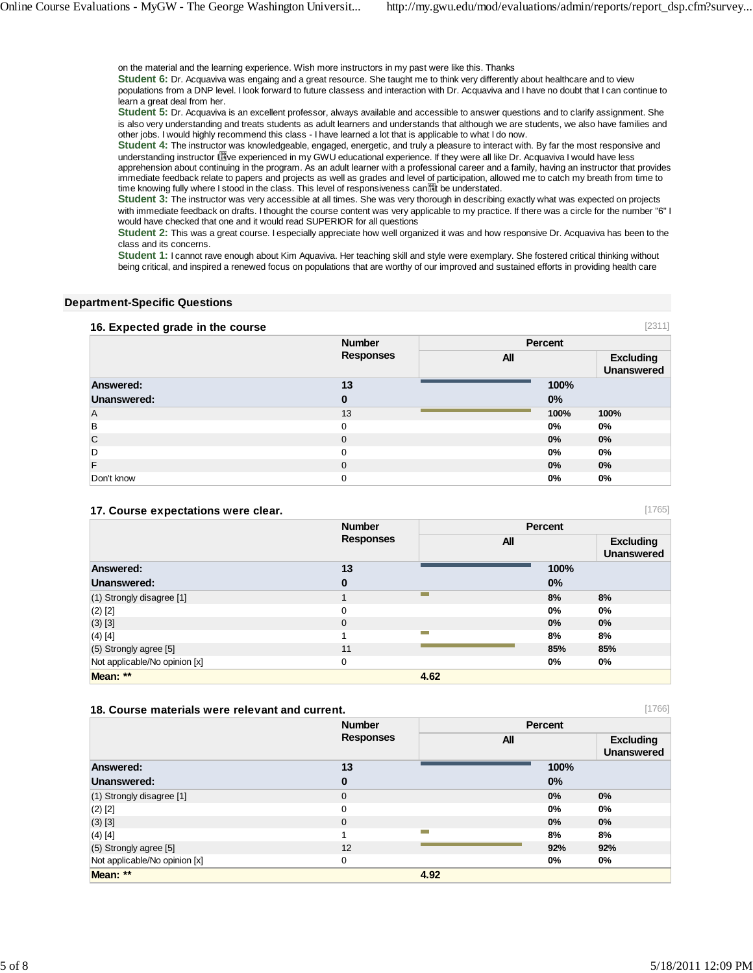on the material and the learning experience. Wish more instructors in my past were like this. Thanks

**Student 6:** Dr. Acquaviva was engaing and a great resource. She taught me to think very differently about healthcare and to view populations from a DNP level. I look forward to future classess and interaction with Dr. Acquaviva and I have no doubt that I can continue to learn a great deal from her.

**Student 5:** Dr. Acquaviva is an excellent professor, always available and accessible to answer questions and to clarify assignment. She is also very understanding and treats students as adult learners and understands that although we are students, we also have families and other jobs. I would highly recommend this class - I have learned a lot that is applicable to what I do now.

**Student 4:** The instructor was knowledgeable, engaged, energetic, and truly a pleasure to interact with. By far the most responsive and understanding instructor I experienced in my GWU educational experience. If they were all like Dr. Acquaviva I would have less apprehension about continuing in the program. As an adult learner with a professional career and a family, having an instructor that provides immediate feedback relate to papers and projects as well as grades and level of participation, allowed me to catch my breath from time to time knowing fully where I stood in the class. This level of responsiveness can it be understated.

**Student 3:** The instructor was very accessible at all times. She was very thorough in describing exactly what was expected on projects with immediate feedback on drafts. I thought the course content was very applicable to my practice. If there was a circle for the number "6" I would have checked that one and it would read SUPERIOR for all questions

**Student 2:** This was a great course. I especially appreciate how well organized it was and how responsive Dr. Acquaviva has been to the class and its concerns.

**Student 1:** I cannot rave enough about Kim Aquaviva. Her teaching skill and style were exemplary. She fostered critical thinking without being critical, and inspired a renewed focus on populations that are worthy of our improved and sustained efforts in providing health care

#### **Department-Specific Questions**

#### **16. Expected grade in the course**

| $\frac{1}{2}$ . $\frac{1}{2}$ . $\frac{1}{2}$ . $\frac{1}{2}$ . $\frac{1}{2}$ . $\frac{1}{2}$ . $\frac{1}{2}$ . $\frac{1}{2}$ . $\frac{1}{2}$ . $\frac{1}{2}$ . $\frac{1}{2}$ . $\frac{1}{2}$ . $\frac{1}{2}$ . $\frac{1}{2}$ . $\frac{1}{2}$ . $\frac{1}{2}$ . $\frac{1}{2}$ . $\frac{1}{2}$ . $\frac{1}{2}$ . $\frac{1}{2}$ . |                                   |     |                |                                       |
|---------------------------------------------------------------------------------------------------------------------------------------------------------------------------------------------------------------------------------------------------------------------------------------------------------------------------------|-----------------------------------|-----|----------------|---------------------------------------|
|                                                                                                                                                                                                                                                                                                                                 | <b>Number</b><br><b>Responses</b> |     | <b>Percent</b> |                                       |
|                                                                                                                                                                                                                                                                                                                                 |                                   | All |                | <b>Excluding</b><br><b>Unanswered</b> |
| Answered:                                                                                                                                                                                                                                                                                                                       | 13                                |     | 100%           |                                       |
| Unanswered:                                                                                                                                                                                                                                                                                                                     | 0                                 |     | 0%             |                                       |
| Α                                                                                                                                                                                                                                                                                                                               | 13                                |     | 100%           | 100%                                  |
| B                                                                                                                                                                                                                                                                                                                               | 0                                 |     | 0%             | $0\%$                                 |
| C                                                                                                                                                                                                                                                                                                                               | $\mathbf 0$                       |     | 0%             | $0\%$                                 |
| D                                                                                                                                                                                                                                                                                                                               | 0                                 |     | 0%             | $0\%$                                 |
| F                                                                                                                                                                                                                                                                                                                               | 0                                 |     | 0%             | $0\%$                                 |
| Don't know                                                                                                                                                                                                                                                                                                                      | 0                                 |     | 0%             | 0%                                    |

#### **17. Course expectations were clear.**

|                               | <b>Number</b>    | Percent    |      |                                       |
|-------------------------------|------------------|------------|------|---------------------------------------|
|                               | <b>Responses</b> | <b>All</b> |      | <b>Excluding</b><br><b>Unanswered</b> |
| <b>Answered:</b>              | 13               |            | 100% |                                       |
| Unanswered:                   | $\bf{0}$         |            | 0%   |                                       |
| $(1)$ Strongly disagree $[1]$ |                  | −          | 8%   | 8%                                    |
| $(2)$ [2]                     | $\Omega$         |            | 0%   | 0%                                    |
| $(3)$ [3]                     | $\mathbf{0}$     |            | 0%   | 0%                                    |
| $(4)$ [4]                     |                  |            | 8%   | 8%                                    |
| (5) Strongly agree [5]        | 11               |            | 85%  | 85%                                   |
| Not applicable/No opinion [x] | $\mathbf 0$      |            | 0%   | $0\%$                                 |
| Mean: **                      |                  | 4.62       |      |                                       |

#### **18. Course materials were relevant and current.**

|                               | <b>Number</b>    |                | <b>Percent</b> |                                       |
|-------------------------------|------------------|----------------|----------------|---------------------------------------|
|                               | <b>Responses</b> | <b>All</b>     |                | <b>Excluding</b><br><b>Unanswered</b> |
| Answered:                     | 13               |                | 100%           |                                       |
| Unanswered:                   | $\bf{0}$         |                | 0%             |                                       |
| (1) Strongly disagree [1]     | $\mathbf{0}$     |                | 0%             | 0%                                    |
| $(2)$ [2]                     | 0                |                | 0%             | 0%                                    |
| (3) [3]                       | $\mathbf{0}$     |                | 0%             | 0%                                    |
| $(4)$ [4]                     |                  | <b>College</b> | 8%             | 8%                                    |
| (5) Strongly agree [5]        | 12               |                | 92%            | 92%                                   |
| Not applicable/No opinion [x] | 0                |                | 0%             | $0\%$                                 |
| Mean: **                      |                  | 4.92           |                |                                       |

[1765]

[1766]

[2311]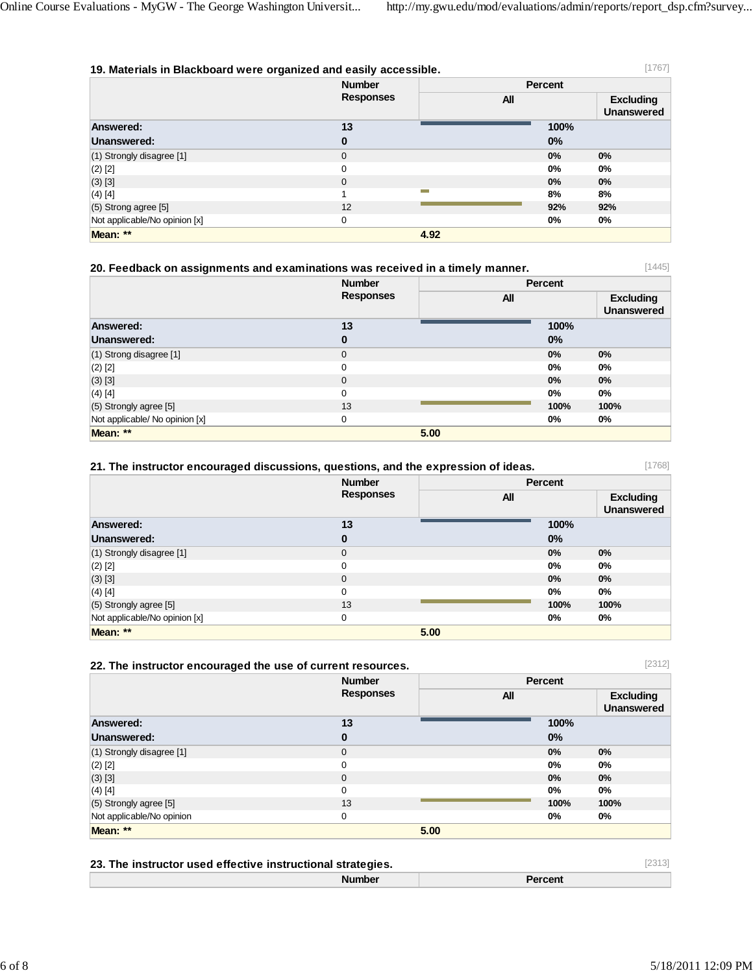| [1767]<br>19. Materials in Blackboard were organized and easily accessible. |                  |      |         |                                       |
|-----------------------------------------------------------------------------|------------------|------|---------|---------------------------------------|
|                                                                             | <b>Number</b>    |      | Percent |                                       |
|                                                                             | <b>Responses</b> | All  |         | <b>Excluding</b><br><b>Unanswered</b> |
| Answered:                                                                   | 13               |      | 100%    |                                       |
| Unanswered:                                                                 | $\bf{0}$         |      | 0%      |                                       |
| $(1)$ Strongly disagree $[1]$                                               | 0                |      | 0%      | 0%                                    |
| $(2)$ [2]                                                                   | $\Omega$         |      | 0%      | 0%                                    |
| $(3)$ [3]                                                                   | 0                |      | 0%      | 0%                                    |
| $(4)$ [4]                                                                   |                  |      | 8%      | 8%                                    |
| $(5)$ Strong agree [5]                                                      | 12               |      | 92%     | 92%                                   |
| Not applicable/No opinion [x]                                               | 0                |      | $0\%$   | 0%                                    |
| Mean: **                                                                    |                  | 4.92 |         |                                       |

| [1445]<br>20. Feedback on assignments and examinations was received in a timely manner. |                  |            |                                       |  |
|-----------------------------------------------------------------------------------------|------------------|------------|---------------------------------------|--|
|                                                                                         | <b>Number</b>    | Percent    |                                       |  |
|                                                                                         | <b>Responses</b> | <b>All</b> | <b>Excluding</b><br><b>Unanswered</b> |  |
| Answered:                                                                               | 13               | 100%       |                                       |  |
| Unanswered:                                                                             | 0                | $0\%$      |                                       |  |
| $(1)$ Strong disagree [1]                                                               | $\Omega$         | 0%         | $0\%$                                 |  |
| $(2)$ [2]                                                                               | 0                | 0%         | $0\%$                                 |  |
| (3) [3]                                                                                 | $\mathbf{0}$     | 0%         | $0\%$                                 |  |
| $(4)$ [4]                                                                               | $\Omega$         | $0\%$      | 0%                                    |  |
| (5) Strongly agree [5]                                                                  | 13               | 100%       | 100%                                  |  |
| Not applicable/ No opinion [x]                                                          | 0                | 0%         | 0%                                    |  |
| Mean: **                                                                                |                  | 5.00       |                                       |  |

| 21. The instructor encouraged discussions, questions, and the expression of ideas. |                  |      |                |                                |
|------------------------------------------------------------------------------------|------------------|------|----------------|--------------------------------|
|                                                                                    | <b>Number</b>    |      | <b>Percent</b> |                                |
|                                                                                    | <b>Responses</b> | All  |                | <b>Excluding</b><br>Unanswered |
| Answered:                                                                          | 13               |      | 100%           |                                |
| Unanswered:                                                                        | 0                |      | $0\%$          |                                |
| (1) Strongly disagree [1]                                                          | 0                |      | $0\%$          | 0%                             |
| $(2)$ [2]                                                                          | 0                |      | $0\%$          | $0\%$                          |
| $(3)$ [3]                                                                          | 0                |      | $0\%$          | 0%                             |
| (4) [4]                                                                            | 0                |      | 0%             | $0\%$                          |
| (5) Strongly agree [5]                                                             | 13               |      | 100%           | 100%                           |
| Not applicable/No opinion [x]                                                      | 0                |      | 0%             | 0%                             |
| Mean: **                                                                           |                  | 5.00 |                |                                |

### **22. The instructor encouraged the use of current resources.**

|                           | <b>Number</b>    |            | Percent |                                       |
|---------------------------|------------------|------------|---------|---------------------------------------|
|                           | <b>Responses</b> | <b>All</b> |         | <b>Excluding</b><br><b>Unanswered</b> |
| Answered:                 | 13               |            | 100%    |                                       |
| Unanswered:               | $\bf{0}$         |            | 0%      |                                       |
| (1) Strongly disagree [1] | $\mathbf{0}$     |            | 0%      | $0\%$                                 |
| $(2)$ [2]                 | $\mathbf 0$      |            | 0%      | 0%                                    |
| (3) [3]                   | $\mathbf{0}$     |            | 0%      | $0\%$                                 |
| $(4)$ [4]                 | 0                |            | 0%      | $0\%$                                 |
| $(5)$ Strongly agree [5]  | 13               |            | 100%    | 100%                                  |
| Not applicable/No opinion | 0                |            | 0%      | 0%                                    |
| Mean: **                  |                  | 5.00       |         |                                       |

| 23. The instructor used effective instructional strategies. |               | [2313]         |  |
|-------------------------------------------------------------|---------------|----------------|--|
|                                                             | <b>Number</b> | <b>Percent</b> |  |

[2312]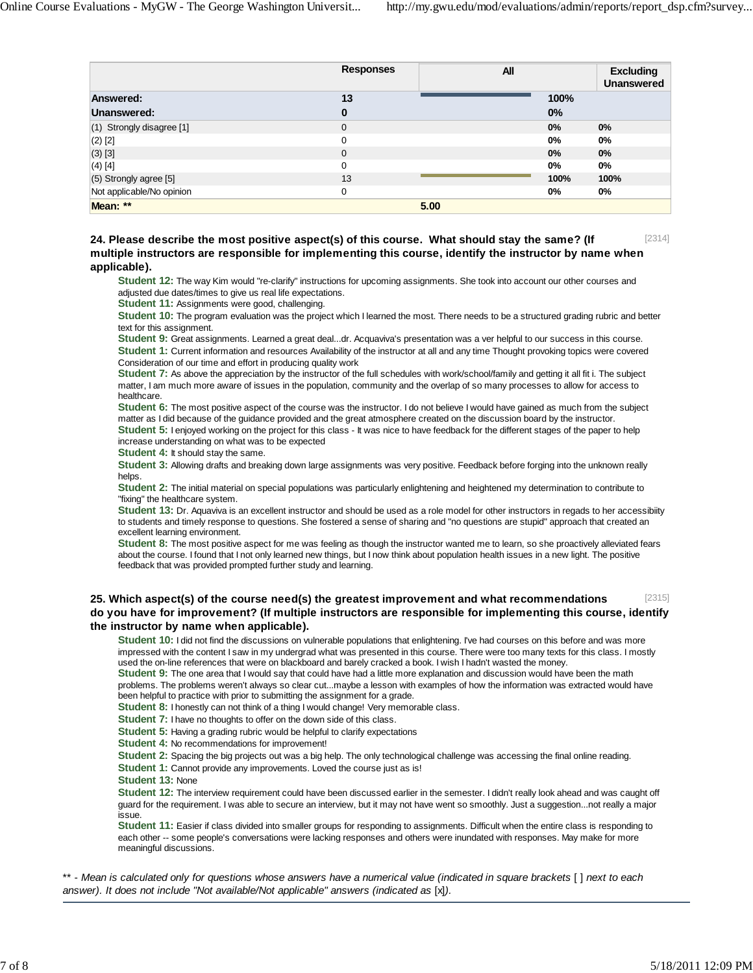|                               | <b>Responses</b> | All  |      | <b>Excluding</b><br><b>Unanswered</b> |
|-------------------------------|------------------|------|------|---------------------------------------|
| Answered:                     | 13               |      | 100% |                                       |
| Unanswered:                   | $\bf{0}$         |      | 0%   |                                       |
| $(1)$ Strongly disagree $[1]$ | $\mathbf 0$      |      | 0%   | $0\%$                                 |
| $(2)$ [2]                     | 0                |      | 0%   | 0%                                    |
| $(3)$ [3]                     | $\mathbf 0$      |      | 0%   | $0\%$                                 |
| $(4)$ [4]                     | 0                |      | 0%   | $0\%$                                 |
| (5) Strongly agree [5]        | 13               |      | 100% | 100%                                  |
| Not applicable/No opinion     | 0                |      | 0%   | 0%                                    |
| Mean: **                      |                  | 5.00 |      |                                       |

#### [2314] **24. Please describe the most positive aspect(s) of this course. What should stay the same? (If multiple instructors are responsible for implementing this course, identify the instructor by name when applicable).**

**Student 12:** The way Kim would "re-clarify" instructions for upcoming assignments. She took into account our other courses and adjusted due dates/times to give us real life expectations.

**Student 11:** Assignments were good, challenging.

**Student 10:** The program evaluation was the project which I learned the most. There needs to be a structured grading rubric and better text for this assignment.

**Student 9:** Great assignments. Learned a great deal...dr. Acquaviva's presentation was a ver helpful to our success in this course. **Student 1:** Current information and resources Availability of the instructor at all and any time Thought provoking topics were covered Consideration of our time and effort in producing quality work

**Student 7:** As above the appreciation by the instructor of the full schedules with work/school/family and getting it all fit i. The subject matter, I am much more aware of issues in the population, community and the overlap of so many processes to allow for access to healthcare.

**Student 6:** The most positive aspect of the course was the instructor. I do not believe I would have gained as much from the subject matter as I did because of the guidance provided and the great atmosphere created on the discussion board by the instructor. **Student 5:** I enjoyed working on the project for this class - It was nice to have feedback for the different stages of the paper to help increase understanding on what was to be expected

**Student 4: It should stay the same.** 

**Student 3:** Allowing drafts and breaking down large assignments was very positive. Feedback before forging into the unknown really helps.

**Student 2:** The initial material on special populations was particularly enlightening and heightened my determination to contribute to "fixing" the healthcare system.

**Student 13:** Dr. Aquaviva is an excellent instructor and should be used as a role model for other instructors in regads to her accessibiity to students and timely response to questions. She fostered a sense of sharing and "no questions are stupid" approach that created an excellent learning environment.

**Student 8:** The most positive aspect for me was feeling as though the instructor wanted me to learn, so she proactively alleviated fears about the course. I found that I not only learned new things, but I now think about population health issues in a new light. The positive feedback that was provided prompted further study and learning.

#### [2315] **25. Which aspect(s) of the course need(s) the greatest improvement and what recommendations do you have for improvement? (If multiple instructors are responsible for implementing this course, identify the instructor by name when applicable).**

**Student 10:** I did not find the discussions on vulnerable populations that enlightening. I've had courses on this before and was more impressed with the content I saw in my undergrad what was presented in this course. There were too many texts for this class. I mostly used the on-line references that were on blackboard and barely cracked a book. I wish I hadn't wasted the money.

**Student 9:** The one area that I would say that could have had a little more explanation and discussion would have been the math problems. The problems weren't always so clear cut...maybe a lesson with examples of how the information was extracted would have been helpful to practice with prior to submitting the assignment for a grade.

**Student 8:** I honestly can not think of a thing I would change! Very memorable class.

**Student 7:** I have no thoughts to offer on the down side of this class.

**Student 5:** Having a grading rubric would be helpful to clarify expectations

**Student 4:** No recommendations for improvement!

**Student 2:** Spacing the big projects out was a big help. The only technological challenge was accessing the final online reading.

**Student 1:** Cannot provide any improvements. Loved the course just as is!

**Student 13:** None

**Student 12:** The interview requirement could have been discussed earlier in the semester. I didn't really look ahead and was caught off guard for the requirement. I was able to secure an interview, but it may not have went so smoothly. Just a suggestion...not really a major issue.

**Student 11:** Easier if class divided into smaller groups for responding to assignments. Difficult when the entire class is responding to each other -- some people's conversations were lacking responses and others were inundated with responses. May make for more meaningful discussions.

\*\* - *Mean is calculated only for questions whose answers have a numerical value (indicated in square brackets* [ ] *next to each answer). It does not include "Not available/Not applicable" answers (indicated as* [x]*).*